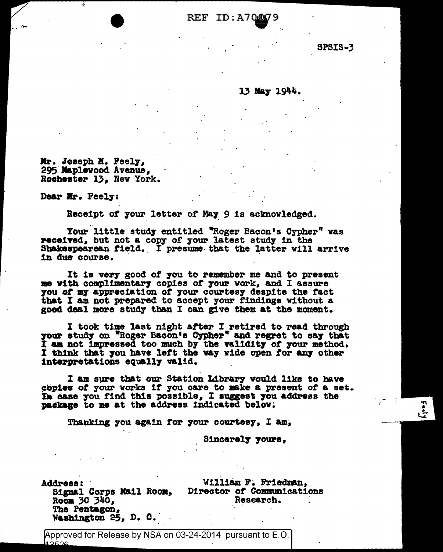REF ID:A7000

**SPSIS-3** 

## 13 May 1944.

Mr. Joseph M. Feely, 295 Maplevood Avenue, Rochester 13, New York.

Dear Mr. Feely:

Receipt of your letter of May 9 is acknowledged.

Your little study entitled "Roger Bacon's Cypher" was received, but not a copy of your latest study in the Shakespearean field. I presume that the latter will arrive in due course.

It is very good of you to remember me and to present me with complimentary copies of your work, and I assure you of my appreciation of your courtesy despite the fact that I am not prepared to accept your findings without a good deal more study than I can give them at the moment.

I took time last night after I retired to read through<br>your study on "Roger Bacon's Cypher" and regret to say that I am not impressed too much by the validity of your method. I think that you have left the way wide open for any other interpretations equally valid.

I am sure that our Station Library would like to have copies of your works if you care to make a present of a set. In ease you find this possible, I suggest you address the package to me at the address indicated below.

Thanking you again for your courtesy, I am,

Sincerely yours,

**Address:** Room 30 340. The Pentagon, Washington 25, D. C.

William F. Friedman, Signal Corps Mail Room, Director of Communications Research.

Approved for Release by NSA on 03-24-2014 pursuant to E.O.  $12526$